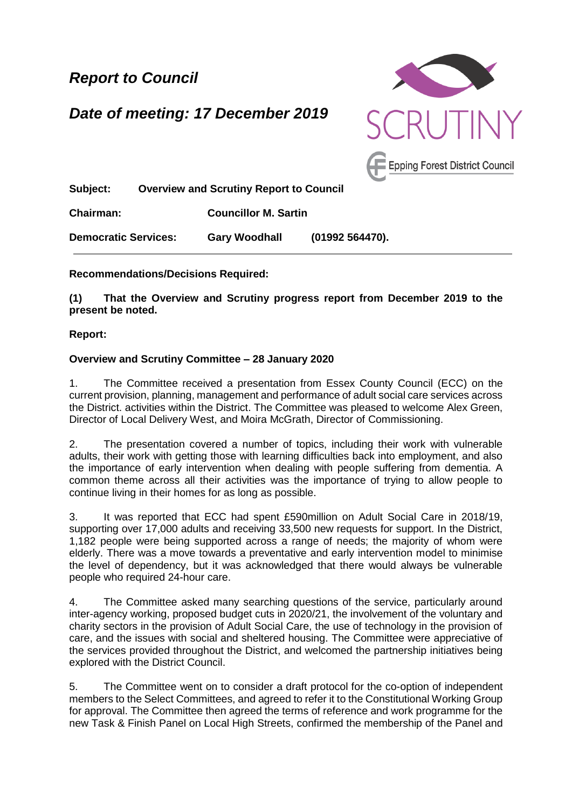*Report to Council*

*Date of meeting: 17 December 2019*



**Subject: Overview and Scrutiny Report to Council**

**Chairman: Councillor M. Sartin**

**Democratic Services: Gary Woodhall (01992 564470).**

## **Recommendations/Decisions Required:**

**(1) That the Overview and Scrutiny progress report from December 2019 to the present be noted.**

## **Report:**

## **Overview and Scrutiny Committee – 28 January 2020**

1. The Committee received a presentation from Essex County Council (ECC) on the current provision, planning, management and performance of adult social care services across the District. activities within the District. The Committee was pleased to welcome Alex Green, Director of Local Delivery West, and Moira McGrath, Director of Commissioning.

2. The presentation covered a number of topics, including their work with vulnerable adults, their work with getting those with learning difficulties back into employment, and also the importance of early intervention when dealing with people suffering from dementia. A common theme across all their activities was the importance of trying to allow people to continue living in their homes for as long as possible.

3. It was reported that ECC had spent £590million on Adult Social Care in 2018/19, supporting over 17,000 adults and receiving 33,500 new requests for support. In the District, 1,182 people were being supported across a range of needs; the majority of whom were elderly. There was a move towards a preventative and early intervention model to minimise the level of dependency, but it was acknowledged that there would always be vulnerable people who required 24-hour care.

4. The Committee asked many searching questions of the service, particularly around inter-agency working, proposed budget cuts in 2020/21, the involvement of the voluntary and charity sectors in the provision of Adult Social Care, the use of technology in the provision of care, and the issues with social and sheltered housing. The Committee were appreciative of the services provided throughout the District, and welcomed the partnership initiatives being explored with the District Council.

5. The Committee went on to consider a draft protocol for the co-option of independent members to the Select Committees, and agreed to refer it to the Constitutional Working Group for approval. The Committee then agreed the terms of reference and work programme for the new Task & Finish Panel on Local High Streets, confirmed the membership of the Panel and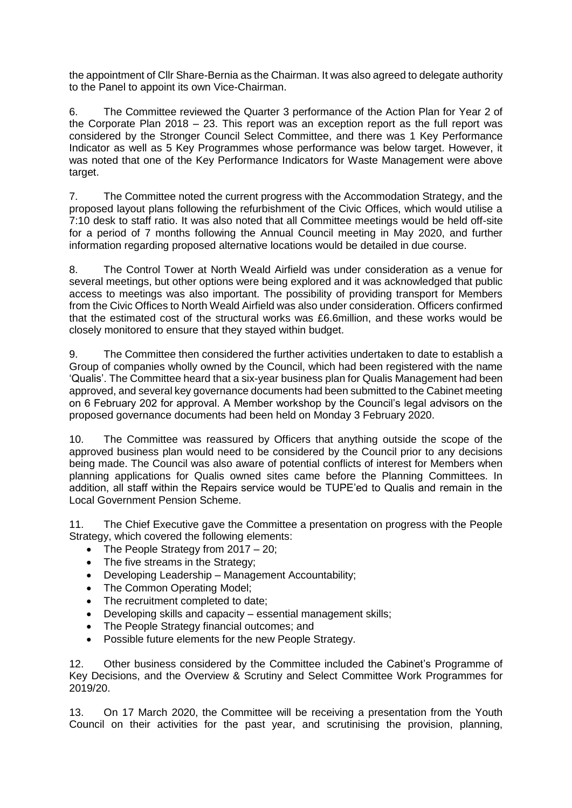the appointment of Cllr Share-Bernia as the Chairman. It was also agreed to delegate authority to the Panel to appoint its own Vice-Chairman.

6. The Committee reviewed the Quarter 3 performance of the Action Plan for Year 2 of the Corporate Plan  $2018 - 23$ . This report was an exception report as the full report was considered by the Stronger Council Select Committee, and there was 1 Key Performance Indicator as well as 5 Key Programmes whose performance was below target. However, it was noted that one of the Key Performance Indicators for Waste Management were above target.

7. The Committee noted the current progress with the Accommodation Strategy, and the proposed layout plans following the refurbishment of the Civic Offices, which would utilise a 7:10 desk to staff ratio. It was also noted that all Committee meetings would be held off-site for a period of 7 months following the Annual Council meeting in May 2020, and further information regarding proposed alternative locations would be detailed in due course.

8. The Control Tower at North Weald Airfield was under consideration as a venue for several meetings, but other options were being explored and it was acknowledged that public access to meetings was also important. The possibility of providing transport for Members from the Civic Offices to North Weald Airfield was also under consideration. Officers confirmed that the estimated cost of the structural works was £6.6million, and these works would be closely monitored to ensure that they stayed within budget.

9. The Committee then considered the further activities undertaken to date to establish a Group of companies wholly owned by the Council, which had been registered with the name 'Qualis'. The Committee heard that a six-year business plan for Qualis Management had been approved, and several key governance documents had been submitted to the Cabinet meeting on 6 February 202 for approval. A Member workshop by the Council's legal advisors on the proposed governance documents had been held on Monday 3 February 2020.

10. The Committee was reassured by Officers that anything outside the scope of the approved business plan would need to be considered by the Council prior to any decisions being made. The Council was also aware of potential conflicts of interest for Members when planning applications for Qualis owned sites came before the Planning Committees. In addition, all staff within the Repairs service would be TUPE'ed to Qualis and remain in the Local Government Pension Scheme.

11. The Chief Executive gave the Committee a presentation on progress with the People Strategy, which covered the following elements:

- The People Strategy from  $2017 20$ ;
- The five streams in the Strategy;
- Developing Leadership Management Accountability;
- The Common Operating Model;
- The recruitment completed to date;
- Developing skills and capacity essential management skills;
- The People Strategy financial outcomes; and
- Possible future elements for the new People Strategy.

12. Other business considered by the Committee included the Cabinet's Programme of Key Decisions, and the Overview & Scrutiny and Select Committee Work Programmes for 2019/20.

13. On 17 March 2020, the Committee will be receiving a presentation from the Youth Council on their activities for the past year, and scrutinising the provision, planning,